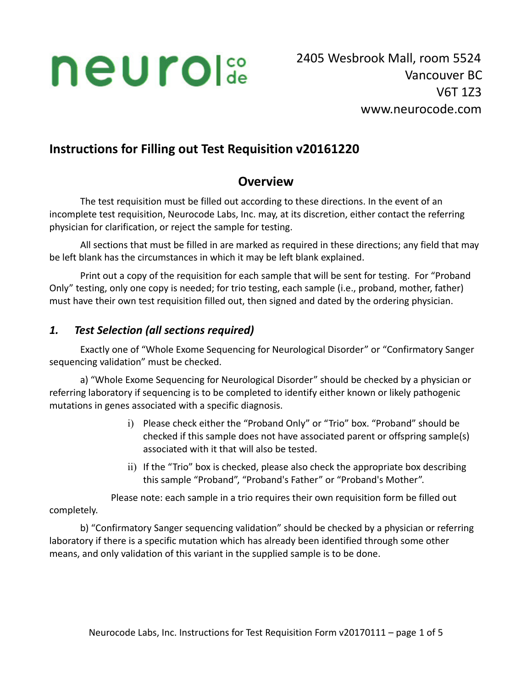### **Instructions for Filling out Test Requisition v20161220**

### **Overview**

The test requisition must be filled out according to these directions. In the event of an incomplete test requisition, Neurocode Labs, Inc. may, at its discretion, either contact the referring physician for clarification, or reject the sample for testing.

All sections that must be filled in are marked as required in these directions; any field that may be left blank has the circumstances in which it may be left blank explained.

Print out a copy of the requisition for each sample that will be sent for testing. For "Proband Only" testing, only one copy is needed; for trio testing, each sample (i.e., proband, mother, father) must have their own test requisition filled out, then signed and dated by the ordering physician.

### *1. Test Selection (all sections required)*

Exactly one of "Whole Exome Sequencing for Neurological Disorder" or "Confirmatory Sanger sequencing validation" must be checked.

a) "Whole Exome Sequencing for Neurological Disorder" should be checked by a physician or referring laboratory if sequencing is to be completed to identify either known or likely pathogenic mutations in genes associated with a specific diagnosis.

- i) Please check either the "Proband Only" or "Trio" box. "Proband" should be checked if this sample does not have associated parent or offspring sample(s) associated with it that will also be tested.
- ii) If the "Trio" box is checked, please also check the appropriate box describing this sample "Proband", "Proband's Father" or "Proband's Mother".

Please note: each sample in a trio requires their own requisition form be filled out completely.

b) "Confirmatory Sanger sequencing validation" should be checked by a physician or referring laboratory if there is a specific mutation which has already been identified through some other means, and only validation of this variant in the supplied sample is to be done.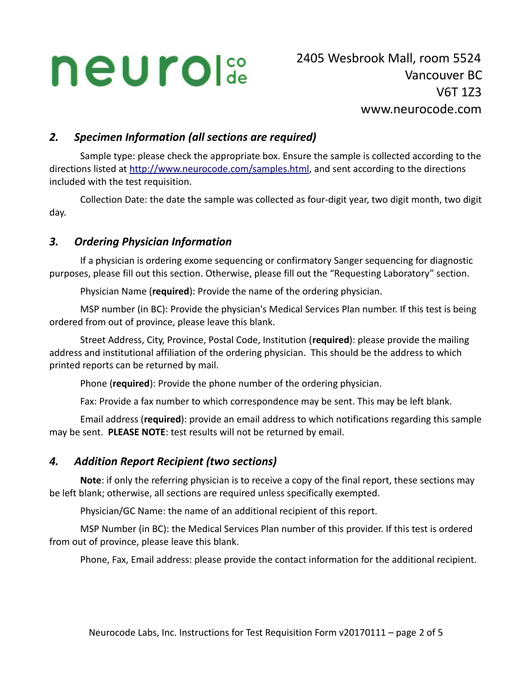#### *2. Specimen Information (all sections are required)*

Sample type: please check the appropriate box. Ensure the sample is collected according to the directions listed at [http://www.neurocode.com/samples.html,](http://www.neurocode.com/samples.html) and sent according to the directions included with the test requisition.

Collection Date: the date the sample was collected as four-digit year, two digit month, two digit day.

#### *3. Ordering Physician Information*

If a physician is ordering exome sequencing or confirmatory Sanger sequencing for diagnostic purposes, please fill out this section. Otherwise, please fill out the "Requesting Laboratory" section.

Physician Name (**required**): Provide the name of the ordering physician.

MSP number (in BC): Provide the physician's Medical Services Plan number. If this test is being ordered from out of province, please leave this blank.

Street Address, City, Province, Postal Code, Institution (**required**): please provide the mailing address and institutional affiliation of the ordering physician. This should be the address to which printed reports can be returned by mail.

Phone (**required**): Provide the phone number of the ordering physician.

Fax: Provide a fax number to which correspondence may be sent. This may be left blank.

Email address (**required**): provide an email address to which notifications regarding this sample may be sent. **PLEASE NOTE**: test results will not be returned by email.

#### *4. Addition Report Recipient (two sections)*

**Note**: if only the referring physician is to receive a copy of the final report, these sections may be left blank; otherwise, all sections are required unless specifically exempted.

Physician/GC Name: the name of an additional recipient of this report.

MSP Number (in BC): the Medical Services Plan number of this provider. If this test is ordered from out of province, please leave this blank.

Phone, Fax, Email address: please provide the contact information for the additional recipient.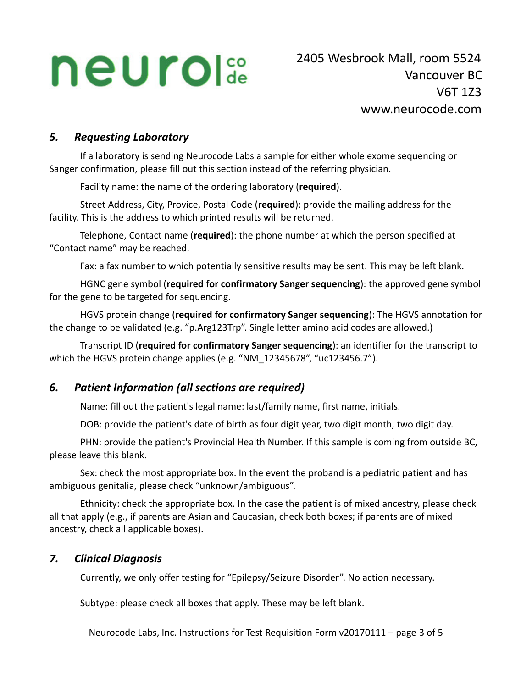#### *5. Requesting Laboratory*

If a laboratory is sending Neurocode Labs a sample for either whole exome sequencing or Sanger confirmation, please fill out this section instead of the referring physician.

Facility name: the name of the ordering laboratory (**required**).

Street Address, City, Provice, Postal Code (**required**): provide the mailing address for the facility. This is the address to which printed results will be returned.

Telephone, Contact name (**required**): the phone number at which the person specified at "Contact name" may be reached.

Fax: a fax number to which potentially sensitive results may be sent. This may be left blank.

HGNC gene symbol (**required for confirmatory Sanger sequencing**): the approved gene symbol for the gene to be targeted for sequencing.

HGVS protein change (**required for confirmatory Sanger sequencing**): The HGVS annotation for the change to be validated (e.g. "p.Arg123Trp". Single letter amino acid codes are allowed.)

Transcript ID (**required for confirmatory Sanger sequencing**): an identifier for the transcript to which the HGVS protein change applies (e.g. "NM\_12345678", "uc123456.7").

#### *6. Patient Information (all sections are required)*

Name: fill out the patient's legal name: last/family name, first name, initials.

DOB: provide the patient's date of birth as four digit year, two digit month, two digit day.

PHN: provide the patient's Provincial Health Number. If this sample is coming from outside BC, please leave this blank.

Sex: check the most appropriate box. In the event the proband is a pediatric patient and has ambiguous genitalia, please check "unknown/ambiguous".

Ethnicity: check the appropriate box. In the case the patient is of mixed ancestry, please check all that apply (e.g., if parents are Asian and Caucasian, check both boxes; if parents are of mixed ancestry, check all applicable boxes).

#### *7. Clinical Diagnosis*

Currently, we only offer testing for "Epilepsy/Seizure Disorder". No action necessary.

Subtype: please check all boxes that apply. These may be left blank.

Neurocode Labs, Inc. Instructions for Test Requisition Form v20170111 – page 3 of 5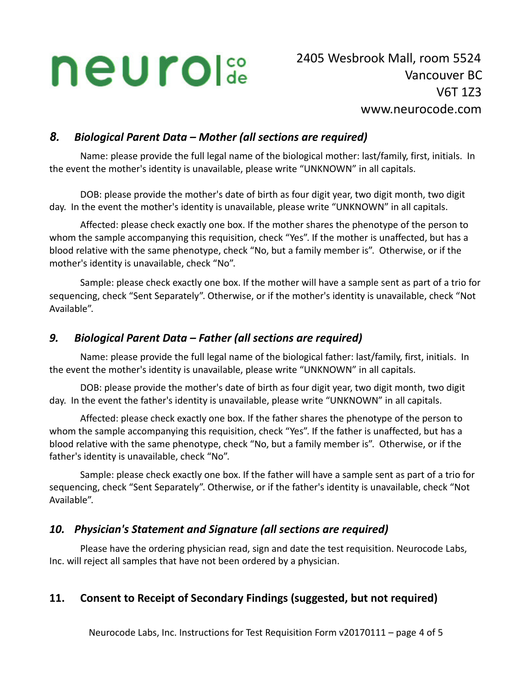2405 Wesbrook Mall, room 5524 Vancouver BC V6T 1Z3 www.neurocode.com

### *8. Biological Parent Data – Mother (all sections are required)*

Name: please provide the full legal name of the biological mother: last/family, first, initials. In the event the mother's identity is unavailable, please write "UNKNOWN" in all capitals.

DOB: please provide the mother's date of birth as four digit year, two digit month, two digit day. In the event the mother's identity is unavailable, please write "UNKNOWN" in all capitals.

Affected: please check exactly one box. If the mother shares the phenotype of the person to whom the sample accompanying this requisition, check "Yes". If the mother is unaffected, but has a blood relative with the same phenotype, check "No, but a family member is". Otherwise, or if the mother's identity is unavailable, check "No".

Sample: please check exactly one box. If the mother will have a sample sent as part of a trio for sequencing, check "Sent Separately". Otherwise, or if the mother's identity is unavailable, check "Not Available".

#### *9. Biological Parent Data – Father (all sections are required)*

Name: please provide the full legal name of the biological father: last/family, first, initials. In the event the mother's identity is unavailable, please write "UNKNOWN" in all capitals.

DOB: please provide the mother's date of birth as four digit year, two digit month, two digit day. In the event the father's identity is unavailable, please write "UNKNOWN" in all capitals.

Affected: please check exactly one box. If the father shares the phenotype of the person to whom the sample accompanying this requisition, check "Yes". If the father is unaffected, but has a blood relative with the same phenotype, check "No, but a family member is". Otherwise, or if the father's identity is unavailable, check "No".

Sample: please check exactly one box. If the father will have a sample sent as part of a trio for sequencing, check "Sent Separately". Otherwise, or if the father's identity is unavailable, check "Not Available".

#### *10. Physician's Statement and Signature (all sections are required)*

Please have the ordering physician read, sign and date the test requisition. Neurocode Labs, Inc. will reject all samples that have not been ordered by a physician.

### **11. Consent to Receipt of Secondary Findings (suggested, but not required)**

Neurocode Labs, Inc. Instructions for Test Requisition Form v20170111 – page 4 of 5